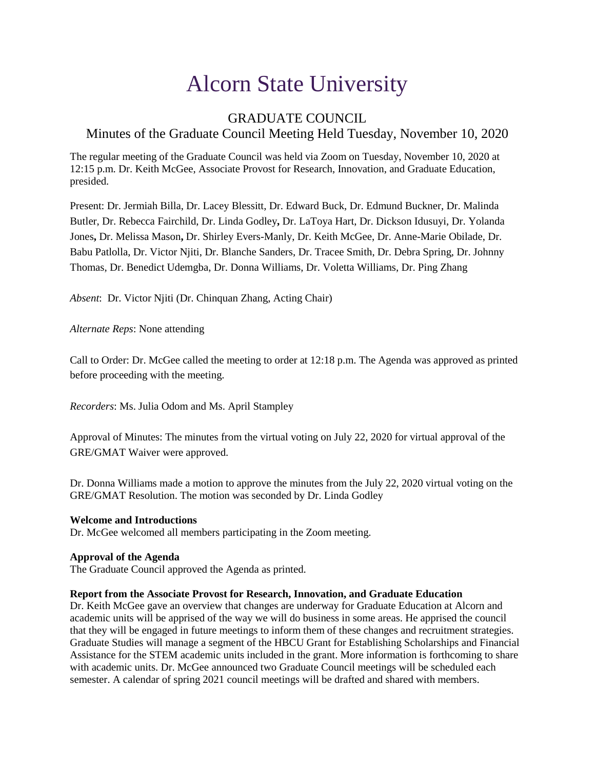# Alcorn State University

# GRADUATE COUNCIL Minutes of the Graduate Council Meeting Held Tuesday, November 10, 2020

The regular meeting of the Graduate Council was held via Zoom on Tuesday, November 10, 2020 at 12:15 p.m. Dr. Keith McGee, Associate Provost for Research, Innovation, and Graduate Education, presided.

Present: Dr. Jermiah Billa, Dr. Lacey Blessitt, Dr. Edward Buck, Dr. Edmund Buckner, Dr. Malinda Butler, Dr. Rebecca Fairchild, Dr. Linda Godley**,** Dr. LaToya Hart, Dr. Dickson Idusuyi, Dr. Yolanda Jones**,** Dr. Melissa Mason**,** Dr. Shirley Evers-Manly, Dr. Keith McGee, Dr. Anne-Marie Obilade, Dr. Babu Patlolla, Dr. Victor Njiti, Dr. Blanche Sanders, Dr. Tracee Smith, Dr. Debra Spring, Dr. Johnny Thomas, Dr. Benedict Udemgba, Dr. Donna Williams, Dr. Voletta Williams, Dr. Ping Zhang

*Absent*: Dr. Victor Njiti (Dr. Chinquan Zhang, Acting Chair)

*Alternate Reps*: None attending

Call to Order: Dr. McGee called the meeting to order at 12:18 p.m. The Agenda was approved as printed before proceeding with the meeting.

*Recorders*: Ms. Julia Odom and Ms. April Stampley

Approval of Minutes: The minutes from the virtual voting on July 22, 2020 for virtual approval of the GRE/GMAT Waiver were approved.

Dr. Donna Williams made a motion to approve the minutes from the July 22, 2020 virtual voting on the GRE/GMAT Resolution. The motion was seconded by Dr. Linda Godley

# **Welcome and Introductions**

Dr. McGee welcomed all members participating in the Zoom meeting.

# **Approval of the Agenda**

The Graduate Council approved the Agenda as printed.

## **Report from the Associate Provost for Research, Innovation, and Graduate Education**

Dr. Keith McGee gave an overview that changes are underway for Graduate Education at Alcorn and academic units will be apprised of the way we will do business in some areas. He apprised the council that they will be engaged in future meetings to inform them of these changes and recruitment strategies. Graduate Studies will manage a segment of the HBCU Grant for Establishing Scholarships and Financial Assistance for the STEM academic units included in the grant. More information is forthcoming to share with academic units. Dr. McGee announced two Graduate Council meetings will be scheduled each semester. A calendar of spring 2021 council meetings will be drafted and shared with members.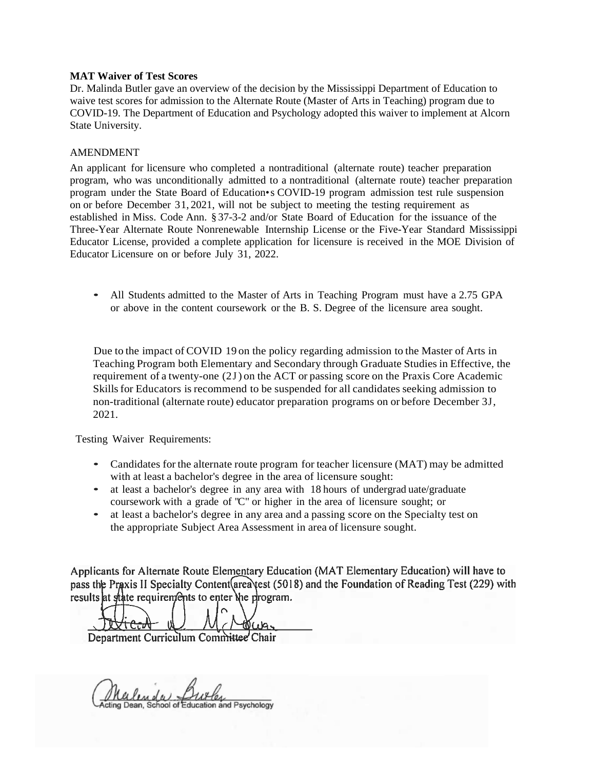# **MAT Waiver of Test Scores**

Dr. Malinda Butler gave an overview of the decision by the Mississippi Department of Education to waive test scores for admission to the Alternate Route (Master of Arts in Teaching) program due to COVID-19. The Department of Education and Psychology adopted this waiver to implement at Alcorn State University.

# AMENDMENT

An applicant for licensure who completed a nontraditional (alternate route) teacher preparation program, who was unconditionally admitted to a nontraditional (alternate route) teacher preparation program under the State Board of Education•s COVID-19 program admission test rule suspension on or before December 31, 2021, will not be subject to meeting the testing requirement as established in Miss. Code Ann. § 37-3-2 and/or State Board of Education for the issuance of the Three-Year Alternate Route Nonrenewable Internship License or the Five-Year Standard Mississippi Educator License, provided a complete application for licensure is received in the MOE Division of Educator Licensure on or before July 31, 2022.

• All Students admitted to the Master of Arts in Teaching Program must have a 2.75 GPA or above in the content coursework or the B. S. Degree of the licensure area sought.

Due to the impact of COVID 19 on the policy regarding admission to the Master of Arts in Teaching Program both Elementary and Secondary through Graduate Studies in Effective, the requirement of a twenty-one (2J) on the ACT or passing score on the Praxis Core Academic Skills for Educators is recommend to be suspended for all candidates seeking admission to non-traditional (alternate route) educator preparation programs on or before December 3J, 2021.

Testing Waiver Requirements:

- Candidates for the alternate route program for teacher licensure (MAT) may be admitted with at least a bachelor's degree in the area of licensure sought:
- at least a bachelor's degree in any area with 18 hours of undergrad uate/graduate coursework with a grade of "C" or higher in the area of licensure sought; or
- at least a bachelor's degree in any area and a passing score on the Specialty test on the appropriate Subject Area Assessment in area of licensure sought.

Applicants for Alternate Route Elementary Education (MAT Elementary Education) will have to pass the Praxis II Specialty Content (area est (5018) and the Foundation of Reading Test (229) with results at state requirements to enter the program.

tN (r)a.

Department Curriculum Committee Chair

<u>Mulen de Miller</u><br>ting Dean, School of Education and Psychology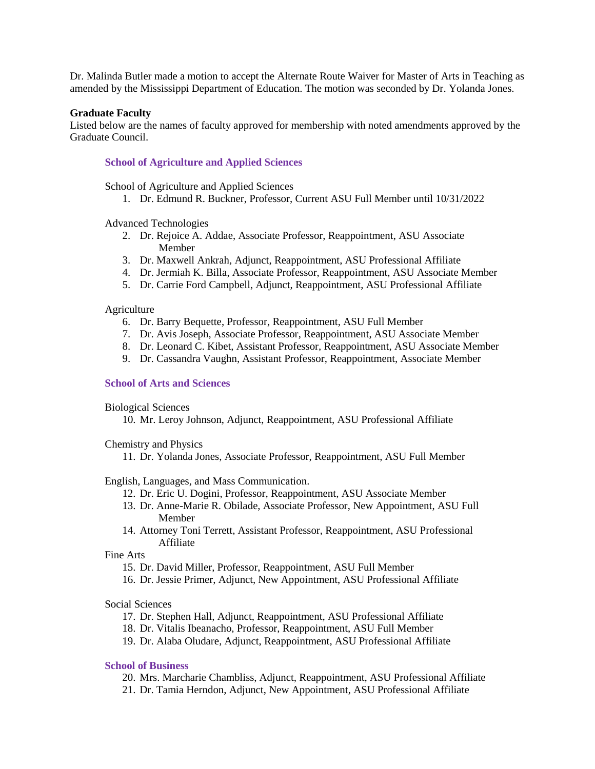Dr. Malinda Butler made a motion to accept the Alternate Route Waiver for Master of Arts in Teaching as amended by the Mississippi Department of Education. The motion was seconded by Dr. Yolanda Jones.

#### **Graduate Faculty**

Listed below are the names of faculty approved for membership with noted amendments approved by the Graduate Council.

# **School of Agriculture and Applied Sciences**

School of Agriculture and Applied Sciences

1. Dr. Edmund R. Buckner, Professor, Current ASU Full Member until 10/31/2022

Advanced Technologies

- 2. Dr. Rejoice A. Addae, Associate Professor, Reappointment, ASU Associate Member
- 3. Dr. Maxwell Ankrah, Adjunct, Reappointment, ASU Professional Affiliate
- 4. Dr. Jermiah K. Billa, Associate Professor, Reappointment, ASU Associate Member
- 5. Dr. Carrie Ford Campbell, Adjunct, Reappointment, ASU Professional Affiliate

#### **Agriculture**

- 6. Dr. Barry Bequette, Professor, Reappointment, ASU Full Member
- 7. Dr. Avis Joseph, Associate Professor, Reappointment, ASU Associate Member
- 8. Dr. Leonard C. Kibet, Assistant Professor, Reappointment, ASU Associate Member
- 9. Dr. Cassandra Vaughn, Assistant Professor, Reappointment, Associate Member

#### **School of Arts and Sciences**

#### Biological Sciences

10. Mr. Leroy Johnson, Adjunct, Reappointment, ASU Professional Affiliate

Chemistry and Physics

11. Dr. Yolanda Jones, Associate Professor, Reappointment, ASU Full Member

English, Languages, and Mass Communication.

- 12. Dr. Eric U. Dogini, Professor, Reappointment, ASU Associate Member
- 13. Dr. Anne-Marie R. Obilade, Associate Professor, New Appointment, ASU Full Member
- 14. Attorney Toni Terrett, Assistant Professor, Reappointment, ASU Professional Affiliate

Fine Arts

- 15. Dr. David Miller, Professor, Reappointment, ASU Full Member
- 16. Dr. Jessie Primer, Adjunct, New Appointment, ASU Professional Affiliate

# Social Sciences

- 17. Dr. Stephen Hall, Adjunct, Reappointment, ASU Professional Affiliate
- 18. Dr. Vitalis Ibeanacho, Professor, Reappointment, ASU Full Member
- 19. Dr. Alaba Oludare, Adjunct, Reappointment, ASU Professional Affiliate

## **School of Business**

- 20. Mrs. Marcharie Chambliss, Adjunct, Reappointment, ASU Professional Affiliate
- 21. Dr. Tamia Herndon, Adjunct, New Appointment, ASU Professional Affiliate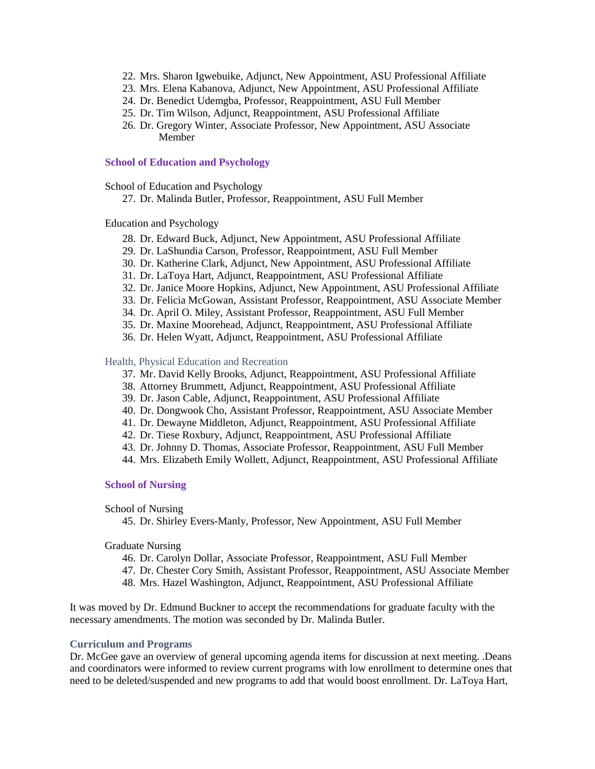- 22. Mrs. Sharon Igwebuike, Adjunct, New Appointment, ASU Professional Affiliate
- 23. Mrs. Elena Kabanova, Adjunct, New Appointment, ASU Professional Affiliate
- 24. Dr. Benedict Udemgba, Professor, Reappointment, ASU Full Member
- 25. Dr. Tim Wilson, Adjunct, Reappointment, ASU Professional Affiliate
- 26. Dr. Gregory Winter, Associate Professor, New Appointment, ASU Associate Member

#### **School of Education and Psychology**

School of Education and Psychology

27. Dr. Malinda Butler, Professor, Reappointment, ASU Full Member

# Education and Psychology

- 28. Dr. Edward Buck, Adjunct, New Appointment, ASU Professional Affiliate
- 29. Dr. LaShundia Carson, Professor, Reappointment, ASU Full Member
- 30. Dr. Katherine Clark, Adjunct, New Appointment, ASU Professional Affiliate
- 31. Dr. LaToya Hart, Adjunct, Reappointment, ASU Professional Affiliate
- 32. Dr. Janice Moore Hopkins, Adjunct, New Appointment, ASU Professional Affiliate
- 33. Dr. Felicia McGowan, Assistant Professor, Reappointment, ASU Associate Member
- 34. Dr. April O. Miley, Assistant Professor, Reappointment, ASU Full Member
- 35. Dr. Maxine Moorehead, Adjunct, Reappointment, ASU Professional Affiliate
- 36. Dr. Helen Wyatt, Adjunct, Reappointment, ASU Professional Affiliate

#### Health, Physical Education and Recreation

- 37. Mr. David Kelly Brooks, Adjunct, Reappointment, ASU Professional Affiliate
- 38. Attorney Brummett, Adjunct, Reappointment, ASU Professional Affiliate
- 39. Dr. Jason Cable, Adjunct, Reappointment, ASU Professional Affiliate
- 40. Dr. Dongwook Cho, Assistant Professor, Reappointment, ASU Associate Member
- 41. Dr. Dewayne Middleton, Adjunct, Reappointment, ASU Professional Affiliate
- 42. Dr. Tiese Roxbury, Adjunct, Reappointment, ASU Professional Affiliate
- 43. Dr. Johnny D. Thomas, Associate Professor, Reappointment, ASU Full Member
- 44. Mrs. Elizabeth Emily Wollett, Adjunct, Reappointment, ASU Professional Affiliate

#### **School of Nursing**

## School of Nursing

45. Dr. Shirley Evers-Manly, Professor, New Appointment, ASU Full Member

# Graduate Nursing

- 46. Dr. Carolyn Dollar, Associate Professor, Reappointment, ASU Full Member
- 47. Dr. Chester Cory Smith, Assistant Professor, Reappointment, ASU Associate Member
- 48. Mrs. Hazel Washington, Adjunct, Reappointment, ASU Professional Affiliate

It was moved by Dr. Edmund Buckner to accept the recommendations for graduate faculty with the necessary amendments. The motion was seconded by Dr. Malinda Butler.

## **Curriculum and Programs**

Dr. McGee gave an overview of general upcoming agenda items for discussion at next meeting. .Deans and coordinators were informed to review current programs with low enrollment to determine ones that need to be deleted/suspended and new programs to add that would boost enrollment. Dr. LaToya Hart,